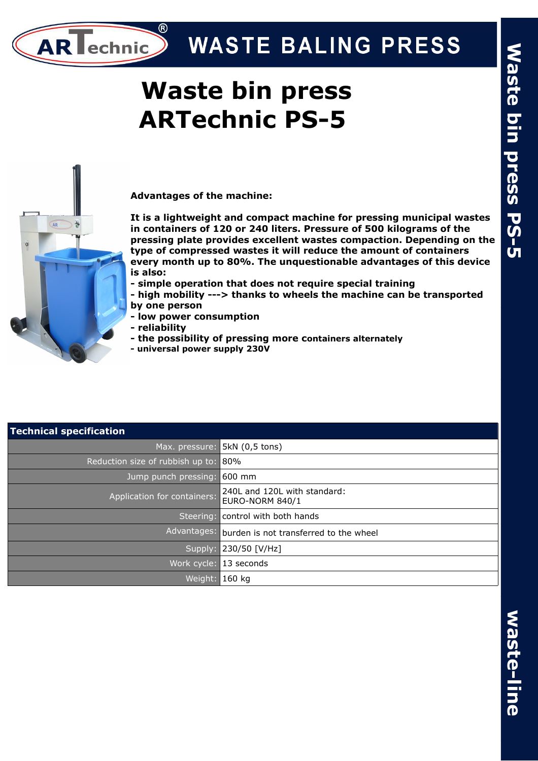# **WASTE BALING PRESS**

# **Waste bin press ARTechnic PS-5**



**AR** echnic

**Advantages of the machine:** 

**It is a lightweight and compact machine for pressing municipal wastes in containers of 120 or 240 liters. Pressure of 500 kilograms of the pressing plate provides excellent wastes compaction. Depending on the type of compressed wastes it will reduce the amount of containers every month up to 80%. The unquestionable advantages of this device is also:** 

- **simple operation that does not require special training**
- **high mobility ---> thanks to wheels the machine can be transported by one person**
- **low power consumption**
- **reliability**
- **the possibility of pressing more containers alternately**
- **universal power supply 230V**

| <b>Technical specification</b>   |                                                        |  |  |
|----------------------------------|--------------------------------------------------------|--|--|
| Max. pressure:                   | 5kN (0,5 tons)                                         |  |  |
| Reduction size of rubbish up to: | 80%                                                    |  |  |
| Jump punch pressing:             | $600$ mm                                               |  |  |
| Application for containers:      | 240L and 120L with standard:<br><b>EURO-NORM 840/1</b> |  |  |
| Steering:                        | control with both hands                                |  |  |
| Advantages:                      | burden is not transferred to the wheel                 |  |  |
|                                  | Supply: 230/50 [V/Hz]                                  |  |  |
| Work cycle:                      | 13 seconds                                             |  |  |
| Weight:                          | 160 kg                                                 |  |  |

## **w a s t e -lin e**